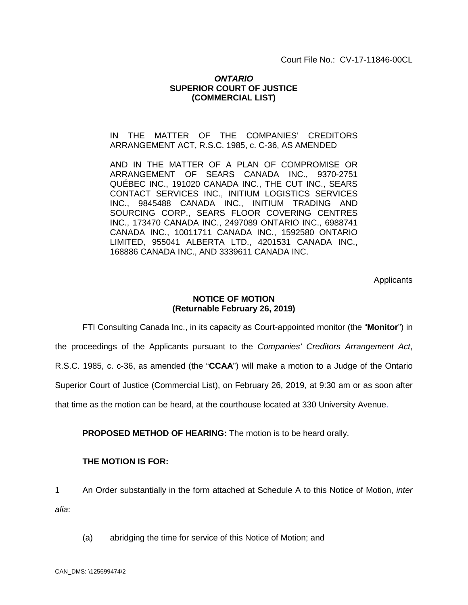Court File No.: CV-17-11846-00CL

## *ONTARIO* **SUPERIOR COURT OF JUSTICE (COMMERCIAL LIST)**

IN THE MATTER OF THE COMPANIES' CREDITORS ARRANGEMENT ACT, R.S.C. 1985, c. C-36, AS AMENDED

AND IN THE MATTER OF A PLAN OF COMPROMISE OR ARRANGEMENT OF SEARS CANADA INC., 9370-2751 QUÉBEC INC., 191020 CANADA INC., THE CUT INC., SEARS CONTACT SERVICES INC., INITIUM LOGISTICS SERVICES INC., 9845488 CANADA INC., INITIUM TRADING AND SOURCING CORP., SEARS FLOOR COVERING CENTRES INC., 173470 CANADA INC., 2497089 ONTARIO INC., 6988741 CANADA INC., 10011711 CANADA INC., 1592580 ONTARIO LIMITED, 955041 ALBERTA LTD., 4201531 CANADA INC., 168886 CANADA INC., AND 3339611 CANADA INC.

**Applicants** 

## **NOTICE OF MOTION (Returnable February 26, 2019)**

FTI Consulting Canada Inc., in its capacity as Court-appointed monitor (the "**Monitor**") in the proceedings of the Applicants pursuant to the *Companies' Creditors Arrangement Act*, R.S.C. 1985, c. c-36, as amended (the "**CCAA**") will make a motion to a Judge of the Ontario Superior Court of Justice (Commercial List), on February 26, 2019, at 9:30 am or as soon after that time as the motion can be heard, at the courthouse located at 330 University Avenue.

**PROPOSED METHOD OF HEARING:** The motion is to be heard orally.

### **THE MOTION IS FOR:**

1 An Order substantially in the form attached at Schedule A to this Notice of Motion, *inter alia*:

(a) abridging the time for service of this Notice of Motion; and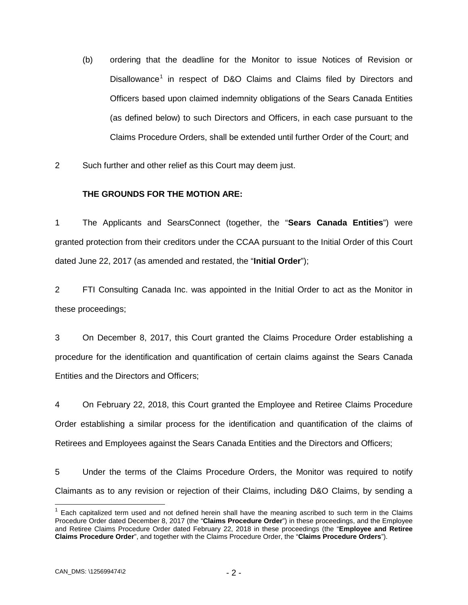- (b) ordering that the deadline for the Monitor to issue Notices of Revision or Disallowance<sup>[1](#page-1-0)</sup> in respect of D&O Claims and Claims filed by Directors and Officers based upon claimed indemnity obligations of the Sears Canada Entities (as defined below) to such Directors and Officers, in each case pursuant to the Claims Procedure Orders, shall be extended until further Order of the Court; and
- 2 Such further and other relief as this Court may deem just.

## **THE GROUNDS FOR THE MOTION ARE:**

1 The Applicants and SearsConnect (together, the "**Sears Canada Entities**") were granted protection from their creditors under the CCAA pursuant to the Initial Order of this Court dated June 22, 2017 (as amended and restated, the "**Initial Order**");

2 FTI Consulting Canada Inc. was appointed in the Initial Order to act as the Monitor in these proceedings;

3 On December 8, 2017, this Court granted the Claims Procedure Order establishing a procedure for the identification and quantification of certain claims against the Sears Canada Entities and the Directors and Officers;

4 On February 22, 2018, this Court granted the Employee and Retiree Claims Procedure Order establishing a similar process for the identification and quantification of the claims of Retirees and Employees against the Sears Canada Entities and the Directors and Officers;

5 Under the terms of the Claims Procedure Orders, the Monitor was required to notify Claimants as to any revision or rejection of their Claims, including D&O Claims, by sending a

<span id="page-1-0"></span> $1$  Each capitalized term used and not defined herein shall have the meaning ascribed to such term in the Claims Procedure Order dated December 8, 2017 (the "**Claims Procedure Order**") in these proceedings, and the Employee and Retiree Claims Procedure Order dated February 22, 2018 in these proceedings (the "**Employee and Retiree Claims Procedure Order**", and together with the Claims Procedure Order, the "**Claims Procedure Orders**").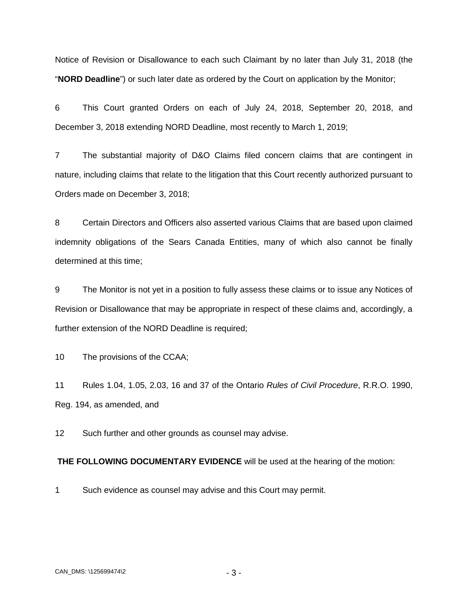Notice of Revision or Disallowance to each such Claimant by no later than July 31, 2018 (the "**NORD Deadline**") or such later date as ordered by the Court on application by the Monitor;

6 This Court granted Orders on each of July 24, 2018, September 20, 2018, and December 3, 2018 extending NORD Deadline, most recently to March 1, 2019;

7 The substantial majority of D&O Claims filed concern claims that are contingent in nature, including claims that relate to the litigation that this Court recently authorized pursuant to Orders made on December 3, 2018;

8 Certain Directors and Officers also asserted various Claims that are based upon claimed indemnity obligations of the Sears Canada Entities, many of which also cannot be finally determined at this time;

9 The Monitor is not yet in a position to fully assess these claims or to issue any Notices of Revision or Disallowance that may be appropriate in respect of these claims and, accordingly, a further extension of the NORD Deadline is required;

10 The provisions of the CCAA;

11 Rules 1.04, 1.05, 2.03, 16 and 37 of the Ontario *Rules of Civil Procedure*, R.R.O. 1990, Reg. 194, as amended, and

12 Such further and other grounds as counsel may advise.

## **THE FOLLOWING DOCUMENTARY EVIDENCE** will be used at the hearing of the motion:

1 Such evidence as counsel may advise and this Court may permit.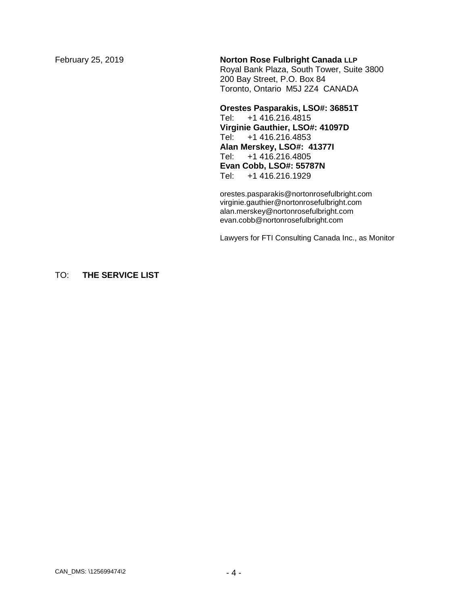February 25, 2019 **Norton Rose Fulbright Canada LLP** Royal Bank Plaza, South Tower, Suite 3800 200 Bay Street, P.O. Box 84 Toronto, Ontario M5J 2Z4 CANADA

> **Orestes Pasparakis, LSO#: 36851T** +1 416.216.4815 **Virginie Gauthier, LSO#: 41097D** +1 416.216.4853 **Alan Merskey, LSO#: 41377I** +1 416.216.4805 **Evan Cobb, LSO#: 55787N** Tel: +1 416.216.1929

orestes.pasparakis@nortonrosefulbright.com virginie.gauthier@nortonrosefulbright.com alan.merskey@nortonrosefulbright.com evan.cobb@nortonrosefulbright.com

Lawyers for FTI Consulting Canada Inc., as Monitor

TO: **THE SERVICE LIST**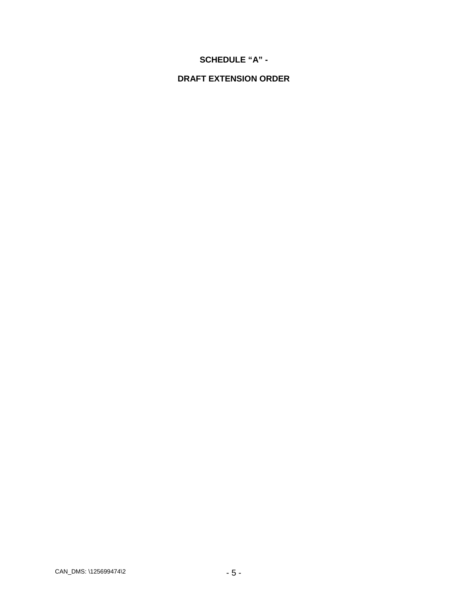# **SCHEDULE "A" -**

# **DRAFT EXTENSION ORDER**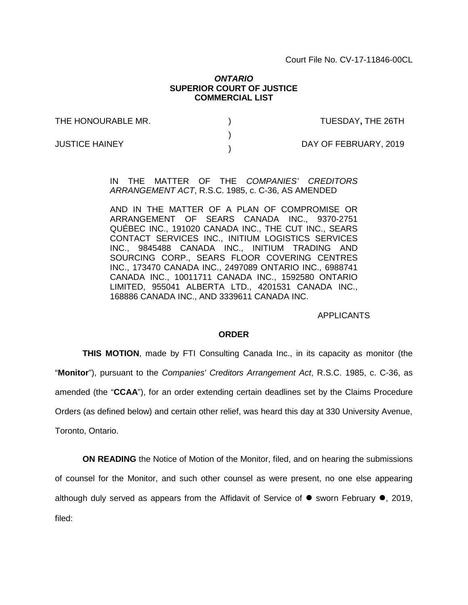Court File No. CV-17-11846-00CL

### *ONTARIO* **SUPERIOR COURT OF JUSTICE COMMERCIAL LIST**

) )  $\lambda$ 

THE HONOURABLE MR.

TUESDAY**,** THE 26TH

JUSTICE HAINEY

DAY OF FEBRUARY, 2019

IN THE MATTER OF THE *COMPANIES' CREDITORS ARRANGEMENT ACT*, R.S.C. 1985, c. C-36, AS AMENDED

AND IN THE MATTER OF A PLAN OF COMPROMISE OR ARRANGEMENT OF SEARS CANADA INC., 9370-2751 QUÉBEC INC., 191020 CANADA INC., THE CUT INC., SEARS CONTACT SERVICES INC., INITIUM LOGISTICS SERVICES INC., 9845488 CANADA INC., INITIUM TRADING AND SOURCING CORP., SEARS FLOOR COVERING CENTRES INC., 173470 CANADA INC., 2497089 ONTARIO INC., 6988741 CANADA INC., 10011711 CANADA INC., 1592580 ONTARIO LIMITED, 955041 ALBERTA LTD., 4201531 CANADA INC., 168886 CANADA INC., AND 3339611 CANADA INC.

APPLICANTS

#### **ORDER**

**THIS MOTION**, made by FTI Consulting Canada Inc., in its capacity as monitor (the "**Monitor**"), pursuant to the *Companies' Creditors Arrangement Act*, R.S.C. 1985, c. C-36, as amended (the "**CCAA**"), for an order extending certain deadlines set by the Claims Procedure Orders (as defined below) and certain other relief, was heard this day at 330 University Avenue, Toronto, Ontario.

**ON READING** the Notice of Motion of the Monitor, filed, and on hearing the submissions of counsel for the Monitor, and such other counsel as were present, no one else appearing although duly served as appears from the Affidavit of Service of  $\bullet$  sworn February  $\bullet$ , 2019, filed: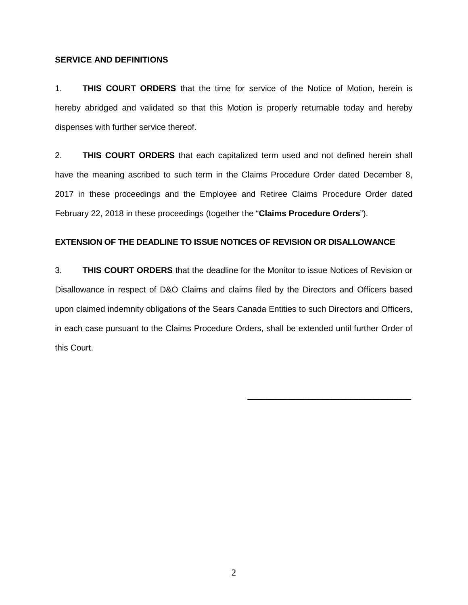## **SERVICE AND DEFINITIONS**

1. **THIS COURT ORDERS** that the time for service of the Notice of Motion, herein is hereby abridged and validated so that this Motion is properly returnable today and hereby dispenses with further service thereof.

2. **THIS COURT ORDERS** that each capitalized term used and not defined herein shall have the meaning ascribed to such term in the Claims Procedure Order dated December 8, 2017 in these proceedings and the Employee and Retiree Claims Procedure Order dated February 22, 2018 in these proceedings (together the "**Claims Procedure Orders**").

## **EXTENSION OF THE DEADLINE TO ISSUE NOTICES OF REVISION OR DISALLOWANCE**

3. **THIS COURT ORDERS** that the deadline for the Monitor to issue Notices of Revision or Disallowance in respect of D&O Claims and claims filed by the Directors and Officers based upon claimed indemnity obligations of the Sears Canada Entities to such Directors and Officers, in each case pursuant to the Claims Procedure Orders, shall be extended until further Order of this Court.

\_\_\_\_\_\_\_\_\_\_\_\_\_\_\_\_\_\_\_\_\_\_\_\_\_\_\_\_\_\_\_\_\_\_\_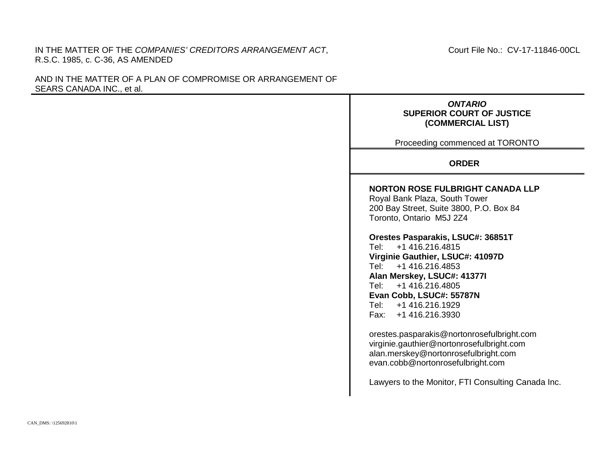## IN THE MATTER OF THE *COMPANIES' CREDITORS ARRANGEMENT ACT*, R.S.C. 1985, c. C-36, AS AMENDED

AND IN THE MATTER OF A PLAN OF COMPROMISE OR ARRANGEMENT OF SEARS CANADA INC., et al.

| <b>ONTARIO</b><br><b>SUPERIOR COURT OF JUSTICE</b><br>(COMMERCIAL LIST)                                                                                                                                                                                                 |
|-------------------------------------------------------------------------------------------------------------------------------------------------------------------------------------------------------------------------------------------------------------------------|
| Proceeding commenced at TORONTO                                                                                                                                                                                                                                         |
| <b>ORDER</b>                                                                                                                                                                                                                                                            |
| <b>NORTON ROSE FULBRIGHT CANADA LLP</b><br>Royal Bank Plaza, South Tower<br>200 Bay Street, Suite 3800, P.O. Box 84<br>Toronto, Ontario M5J 2Z4                                                                                                                         |
| Orestes Pasparakis, LSUC#: 36851T<br>+1 416.216.4815<br>Tel <sup>.</sup><br>Virginie Gauthier, LSUC#: 41097D<br>Tel: +1 416.216.4853<br>Alan Merskey, LSUC#: 41377I<br>Tel: +1 416.216.4805<br>Evan Cobb, LSUC#: 55787N<br>Tel: +1 416.216.1929<br>Fax: +1 416.216.3930 |
| orestes.pasparakis@nortonrosefulbright.com<br>virginie.gauthier@nortonrosefulbright.com<br>alan.merskey@nortonrosefulbright.com<br>evan.cobb@nortonrosefulbright.com                                                                                                    |

Lawyers to the Monitor, FTI Consulting Canada Inc.